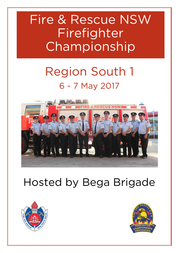## Fire & Rescue NSW Fire fighter **Championship [Championship](http://firefighterchampionships.smugmug.com/Sports/Finley-2011/18964732_ZTwSWs#!i=1473057201&k=dzk6rxk&lb=1&s=A)**<br>Championshipped

# **Region South 1**



## **Hosted by Bega Brigade**



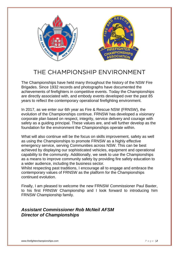

### THE CHAMPIONSHIP ENVIRONMENT

The Championships have held many throughout the history of the NSW Fire Brigades. Since 1932 records and photographs have documented the achievements of firefighters in competitive events. Today the Championships are directly associated with, and embody events developed over the past 85 years to reflect the contemporary operational firefighting environment.

In 2017, as we enter our 6th year as Fire & Rescue NSW (FRNSW), the evolution of the Championships continue. FRNSW has developed a visionary corporate plan based on respect, integrity, service delivery and courage with safety as a guiding principal. These values are, and will further develop as the foundation for the environment the Championships operate within.

What will also continue will be the focus on skills improvement, safety as well as using the Championships to promote FRNSW as a highly effective emergency service, serving Communities across NSW. This can be best achieved by displaying our sophisticated vehicles, equipment and operational capability to the community. Additionally, we seek to use the Championships as a means to improve community safety by providing fire safety education to a wider audience, including the business sector.

Whilst respecting past traditions, I encourage all to engage and embrace the contemporary values of FRNSW as the platform for the Championships continued evolution.

Finally, I am pleased to welcome the new FRNSW Commissioner Paul Baxter, to his first FRNSW Championship and I look forward to introducing him FRNSW Championship family.

#### *Assistant Commissioner Rob McNeil AFSM Director of Championships*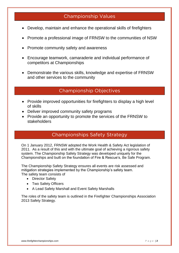## **Championship Values**

- Develop, maintain and enhance the operational skills of firefighters
- Promote a professional image of FRNSW to the communities of NSW
- Promote community safety and awareness
- Encourage teamwork, camaraderie and individual performance of competitors at Championships
- Demonstrate the various skills, knowledge and expertise of FRNSW and other services to the community

## **Championship Objectives**

- Provide improved opportunities for firefighters to display a high level of skills
- Deliver improved community safety programs
- Provide an opportunity to promote the services of the FRNSW to stakeholders

## **Championships Safety Strategy**

On 1 January 2012, FRNSW adopted the Work Health & Safety Act legislation of 2011. As a result of this and with the ultimate goal of achieving a rigorous safety system. The Championship Safety Strategy was developed uniquely for the Championships and built on the foundation of Fire & Rescue's, Be Safe Program.

The Championship Safety Strategy ensures all events are risk assessed and mitigation strategies implemented by the Championship's safety team. The safety team consists of

- Director Safety
- Two Safety Officers
- A Lead Safety Marshall and Event Safety Marshalls

The roles of the safety team is outlined in the Firefighter Championships Association 2013 Safety Strategy.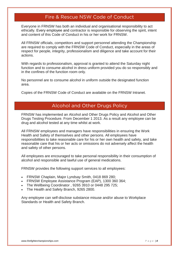#### Fire & Rescue NSW Code of Conduct **Fire & Rescue NSW Code of Conduct**

Everyone in FRNSW has both an individual and organisational responsibility to act ethically. Every employee and contractor is responsible for observing the spirit, intent and content of this Code of Conduct in his or her work for FRNSW.

All FRNSW officials, competitors and support personnel attending the Championship are required to comply with the FRNSW Code of Conduct, especially in the areas of respect for people, integrity, professionalism and diligence and take account for their actions.

With regards to professionalism, approval is granted to attend the Saturday night function and to consume alcohol in dress uniform provided you do so responsibly and in the confines of the function room only.

No personnel are to consume alcohol in uniform outside the designated function area.

Copies of the FRNSW Code of Conduct are available on the FRNSW Intranet.

## **Alcohol and Other Drugs Policy**

FRNSW has implemented an Alcohol and Other Drugs Policy and Alcohol and Other Drugs Testing Procedure. From December 1 2013. As a result any employee can be drug and alcohol tested at any time whilst at work.

All FRNSW employees and managers have responsibilities in ensuring the Work Health and Safety of themselves and other persons. All employees have responsibilities to take reasonable care for his or her own health and safety, and take reasonable care that his or her acts or omissions do not adversely affect the health and safety of other persons.

All employees are encouraged to take personal responsibility in their consumption of alcohol and responsible and lawful use of general medications.

FRNSW provides the following support services to all employees:

- FRNSW Chaplain, Major Lyndsay Smith, 0418 869 280;
- FRNSW Employee Assistance Program (EAP), 1300 360 364;
- The Wellbeing Coordinator , 9265 3910 or 0448 295 725;
- The Health and Safety Branch, 9265 2800.

Any employee can self-disclose substance misuse and/or abuse to Workplace Standards or Health and Safety Branch.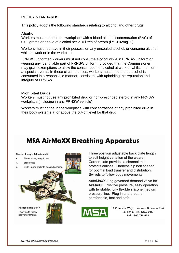#### **POLICY STANDARDS**

This policy adopts the following standards relating to alcohol and other drugs:

#### **Alcohol**

Workers must not be in the workplace with a blood alcohol concentration (BAC) of 0.02 grams or above of alcohol per 210 litres of breath (i.e. 0.02mg %).

Workers must not have in their possession any unsealed alcohol, or consume alcohol while at work or in the workplace.

FRNSW uniformed workers must not consume alcohol while in FRNSW uniform or wearing any identifiable part of FRNSW uniform, provided that the Commissioner may grant exemptions to allow the consumption of alcohol at work or whilst in uniform at special events. In these circumstances, workers must ensure that alcohol is consumed in a responsible manner, consistent with upholding the reputation and integrity of FRNSW.

#### **Prohibited Drugs**

Workers must not use any prohibited drug or non-prescribed steroid in any FRNSW workplace (including in any FRNSW vehicle).

Workers must not be in the workplace with concentrations of any prohibited drug in their body systems at or above the cut-off level for that drug.

## **MSA AirMaXX Breathing Apparatus**



Three position adjustable back plate length to suit height variation of the wearer. Carrier plate provides a channel that protects airlines. Harness hip belt shaped for optimal load transfer and distribution. Swivels to follow body movements.

AutoMaXX-lung governed demand valve for AirMaXX. Positive pressure, easy operation with twistable, fully flexible silicone medium pressure line. Plug in and breathe comfortable, fast and safe.



11 Columbia Way, Norwest Business Park Baulkham Hills, NSW 2153 **Tel: 1300 728 672**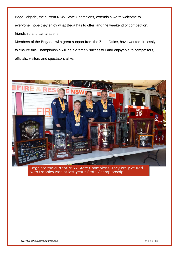Bega Brigade, the current NSW State Champions, extends a warm welcome to everyone, hope they enjoy what Bega has to offer, and the weekend of competition, friendship and camaraderie.

Members of the Brigade, with great support from the Zone Office, have worked tirelessly to ensure this Championship will be extremely successful and enjoyable to competitors, officials, visitors and spectators alike.



with trophies won at last vear's State Championship.  $\overline{\phantom{a}}$  the picture of  $\overline{\phantom{a}}$ with trophies won at last year's State Championship.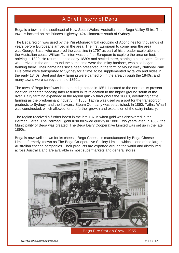## **A Brief History of Bega**

Bega is a town in the southeast of [New South Wales,](https://en.wikipedia.org/wiki/New_South_Wales) Australia in the [Bega Valley Shire.](https://en.wikipedia.org/wiki/Bega_Valley_Shire) The town is located on the Princes Highway, 424 kilometres south of Sydney.

The Bega region was used by the Yuin-Monaro tribal grouping of Aborigines for thousands of years before Europeans arrived in the area. The first European to come near the area was [George Bass,](https://en.wikipedia.org/wiki/George_Bass) who explored the coastline in 1797 as part of his broader explorations of the Australian coast. William Tarlinton was the first European to explore the area on foot, arriving in 1829. He returned in the early 1830s and settled there, starting a cattle farm. Others who arrived in the area around the same time were the Imlay brothers, who also began farming there. Their name has since been preserved in the form of [Mount Imlay National Park.](https://en.wikipedia.org/wiki/Mount_Imlay_National_Park) Live cattle were transported to Sydney for a time, to be supplemented by tallow and hides in the early 1840s. Beef and dairy farming were carried on in the area through the 1840s, and many towns were surveyed in the 1850s.

The town of Bega itself was laid out and gazetted in 1851. Located to the north of its present location, repeated flooding later resulted in its relocation to the higher ground south of the river. Dairy farming expanded in the region quickly throughout the 1860s, overtaking cattle farming as the predominant industry. In 1858, Tathra was used as a port for the transport of products to Sydney, and the Illawarra Steam Company was established. In 1860, Tathra Wharf was constructed, which allowed for the further growth and expansion of the dairy industry.

The region received a further boost in the late 1870s when gold was discovered in the Bermagui area. The Bermagui gold rush followed quickly in 1880. Two years later, in 1882, the Municipality of Bega was created. The Bega Dairy Cooperative Limited was set up in the late 1890s.

Bega is now well known for its cheese. [Bega Cheese](https://en.wikipedia.org/wiki/Bega_Cheese) is manufactured by Bega Cheese Limited formerly known as The Bega Co-operative Society Limited which is one of the larger Australian cheese companies. Their products are exported around the world and distributed across Australia and are available in most supermarkets and general stores.



Began Fire Station Crew Trees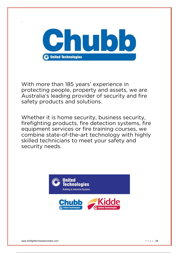

With more than 185 years' experience in protecting people, property and assets, we are Australia's leading provider of security and fire safety products and solutions. safety products and solutions.

Whether it is home security, business security,<br>firefighting products, fire detection systems, fire equipment services or fire training courses, we combine state-of-the-art technology with highly skilled technicians to meet your safety and security needs. security needs.



.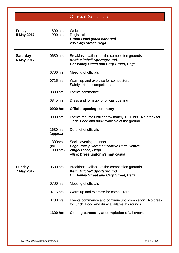**Official Schedule**

| <b>Friday</b><br>5 May 2017   | 1800 hrs<br>1900 hrs         | Welcome<br>Registrations:<br><b>Grand Hotel (back bar area)</b><br>236 Carp Street, Bega                                                    |
|-------------------------------|------------------------------|---------------------------------------------------------------------------------------------------------------------------------------------|
| <b>Saturday</b><br>6 May 2017 | 0630 hrs                     | Breakfast available at the competition grounds<br><b>Keith Mitchell Sportsground,</b><br><b>Cnr Valley Street and Carp Street, Bega</b>     |
|                               | 0700 hrs                     | Meeting of officials                                                                                                                        |
|                               | 0715 hrs                     | Warm up and exercise for competitors<br>Safety brief to competitors                                                                         |
|                               | 0800 hrs                     | Events commence                                                                                                                             |
|                               | 0845 hrs                     | Dress and form up for official opening                                                                                                      |
|                               | 0900 hrs                     | <b>Official opening ceremony</b>                                                                                                            |
|                               | 0930 hrs                     | Events resume until approximately 1630 hrs. No break for<br>lunch. Food and drink available at the ground.                                  |
|                               | 1630 hrs<br>(approx)         | De-brief of officials                                                                                                                       |
|                               | 1830hrs<br>(for<br>1900 hrs) | Social evening - dinner<br><b>Bega Valley Commemorative Civic Centre</b><br><b>Zingel Place, Bega</b><br>Attire: Dress uniform/smart casual |
| <b>Sunday</b><br>7 May 2017   | 0630 hrs                     | Breakfast available at the competition grounds<br><b>Keith Mitchell Sportsground,</b><br><b>Cnr Valley Street and Carp Street, Bega</b>     |
|                               | 0700 hrs                     | Meeting of officials                                                                                                                        |
|                               | 0715 hrs                     | Warm up and exercise for competitors                                                                                                        |
|                               | 0730 hrs                     | Events commence and continue until completion. No break<br>for lunch. Food and drink available at grounds.                                  |
|                               | <b>1300 hrs</b>              | Closing ceremony at completion of all events                                                                                                |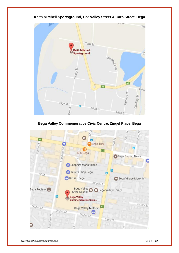

#### **Keith Mitchell Sportsground, Cnr Valley Street & Carp Street, Bega**

**Bega Valley Commemorative Civic Centre, Zingel Place, Bega**

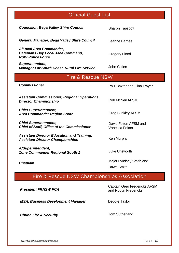## **Official Guest List**

| <b>Councillor, Bega Valley Shire Council</b>                                                  | <b>Sharon Tapscott</b>                  |  |  |  |
|-----------------------------------------------------------------------------------------------|-----------------------------------------|--|--|--|
| <b>General Manager, Bega Valley Shire Council</b>                                             | Leanne Barnes                           |  |  |  |
| A/Local Area Commander,<br><b>Batemans Bay Local Area Command,</b><br><b>NSW Police Force</b> | <b>Gregory Flood</b>                    |  |  |  |
| Superintendent,<br><b>Manager Far South Coast, Rural Fire Service</b>                         | John Cullen                             |  |  |  |
| Fire & Rescue NSW                                                                             |                                         |  |  |  |
| <b>Commissioner</b>                                                                           | Paul Baxter and Gina Dwyer              |  |  |  |
| <b>Assistant Commissioner, Regional Operations,</b><br><b>Director Championship</b>           | <b>Rob McNeil AFSM</b>                  |  |  |  |
| <b>Chief Superintendent,</b><br><b>Area Commander Region South</b>                            | <b>Greg Buckley AFSM</b>                |  |  |  |
| <b>Chief Superintendent,</b><br><b>Chief of Staff, Office of the Commissioner</b>             | David Felton AFSM and<br>Vanessa Felton |  |  |  |
| <b>Assistant Director Education and Training,</b><br><b>Assistant Director Championships</b>  | Ken Murphy                              |  |  |  |
| A/Superintendent,<br><b>Zone Commander Regional South 1</b>                                   | Luke Unsworth                           |  |  |  |
| <b>Chaplain</b>                                                                               | Major Lyndsay Smith and<br>Dawn Smith   |  |  |  |

#### **Fire & Rescue NSW Championships Association**

*President FRNSW FCA*

**MSA, Business Development Manager State Changer** Debbie Taylor

**Chubb Fire & Security** Tom Sutherland

Captain Greg Fredericks AFSM and Robyn Fredericks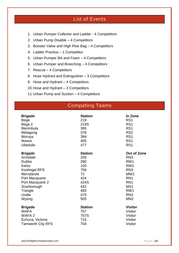## **List of Events**

- 1. Urban Pumper Collector and Ladder 4 Competitors
- 2. Urban Pump Disable 4 Competitors
- 3. Booster Valve and High Rise Bag 4 Competitors
- 4. Ladder Practice 1 Competitor
- 5. Urban Pumper BA and Foam 4 Competitors
- 6. Urban Pumper and Breeching 4 Competitors
- 7. Rescue 4 Competitors
- 8. Hose Hydrant and Extinguisher 3 Competitors
- 9. Hose and Hydrant 4 Competitors
- 10.Hose and Hydrant 2 Competitors
- 11.Urban Pump and Suction 4 Competitors

#### **Competing Teams**

| <b>Brigade</b><br>Bega   | <b>Station</b><br>219 | In Zone<br>RS <sub>1</sub> |
|--------------------------|-----------------------|----------------------------|
| Bega 2                   | 219S                  | RS <sub>1</sub>            |
| Merimbula                | 395                   | RS <sub>1</sub>            |
| Mittagong                | 378                   | RS <sub>2</sub>            |
| Moruya                   | 384                   | RS <sub>1</sub>            |
| Nowra                    | 405                   | RS <sub>1</sub>            |
| <b>Ulladulla</b>         | 477                   | RS <sub>1</sub>            |
| <b>Brigade</b>           | <b>Station</b>        | <b>Out of Zone</b>         |
| Armidale                 | 205                   | RN <sub>3</sub>            |
| Dubbo                    | 280                   | RW <sub>1</sub>            |
| Kelso                    | 105                   | RW <sub>2</sub>            |
| <b>Kootingal RFS</b>     | 756                   | RN <sub>3</sub>            |
| Merrylands               | 72                    | MW <sub>2</sub>            |
| Port Macquarie           | 424                   | RN <sub>1</sub>            |
| Port Macquarie 2         | 424S                  | RN <sub>1</sub>            |
| Scarborough              | 442                   | MS1                        |
| Trangie                  | 465                   | RW <sub>1</sub>            |
| Uralla                   | 475                   | RN <sub>3</sub>            |
| Wyong                    | 505                   | MN <sub>2</sub>            |
| <b>Brigade</b>           | <b>Station</b>        | <b>Visitor</b>             |
| <b>WAFA</b>              | 757                   | Visitor                    |
| WAFA 2                   | 757S                  | <b>Visitor</b>             |
| Echuca, Victoria         | 715                   | Visitor                    |
| <b>Tamworth City RFS</b> | 704                   | Visitor                    |
|                          |                       |                            |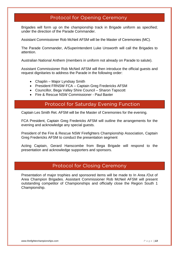## **Protocol for Opening Ceremony**

Brigades will form up on the championship track in Brigade uniform as specified; under the direction of the Parade Commander.

Assistant Commissioner Rob McNeil AFSM will be the Master of Ceremonies (MC).

The Parade Commander, A/Superintendent Luke Unsworth will call the Brigades to attention.

Australian National Anthem (members in uniform not already on Parade to salute).

Assistant Commissioner Rob McNeil AFSM will then introduce the official guests and request dignitaries to address the Parade in the following order:

- Chaplin Major Lyndsay Smith
- President FRNSW FCA Captain Greg Fredericks AFSM
- Councillor, Bega Valley Shire Council Sharon Tapscott
- **Fire & Rescue NSW Commissioner Paul Baxter**

## **Protocol for Saturday Evening Function**

Captain Les Smith Ret. AFSM will be the Master of Ceremonies for the evening.

FCA President, Captain Greg Fredericks AFSM will outline the arrangements for the evening and acknowledge any special guests.

President of the Fire & Rescue NSW Firefighters Championship Association, Captain Greg Fredericks AFSM to conduct the presentation segment

Acting Captain, Gerard Hanscombe from Bega Brigade will respond to the presentation and acknowledge supporters and sponsors.

## **Protocol for Closing Ceremony**

Presentation of major trophies and sponsored items will be made to In Area /Out of Area Champion Brigades. Assistant Commissioner Rob McNeil AFSM will present outstanding competitor of Championships and officially close the Region South 1 Championship.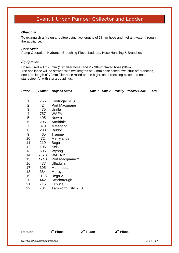#### **Event 1. Urban Pumper Collector and Ladder**

#### *Objective:*

To extinguish a fire on a rooftop using two lengths of 38mm hose and hydrant water through the appliance.

#### *Core Skills:*

Pump Operation, Hydrants, Breeching Piece, Ladders, Hose Handling & Branches

#### *Equipment:*

Hoses used – 1 x 70mm (10m filler hose) and 2 x 38mm flaked hose (30m) The appliance will be stowed with two lengths of 38mm hose flaked, two shut-off branches, one 10m length of 70mm filler hose rolled on the bight, one breeching piece and one standpipe. All with stortz couplings.

| <b>Order</b>     | <b>Station</b> | <b>Brigade Name</b>      |  | Time 1 Time 2 Penalty Penalty Code | <b>Total</b> |
|------------------|----------------|--------------------------|--|------------------------------------|--------------|
| 1                | 756            | <b>Kootingal RFS</b>     |  |                                    |              |
| $\overline{2}$   | 424            | Port Macquarie           |  |                                    |              |
| 3                | 475            | Uralla                   |  |                                    |              |
| 4                | 757            | <b>WAFA</b>              |  |                                    |              |
| 5                | 405            | Nowra                    |  |                                    |              |
| 6                | 205            | Armidale                 |  |                                    |              |
| 7                | 378            | Mittagong                |  |                                    |              |
| 8                | 280            | Dubbo                    |  |                                    |              |
| $\boldsymbol{9}$ | 465            | Trangie                  |  |                                    |              |
| 10               | 72             | Merrylands               |  |                                    |              |
| 11               | 219            | Bega                     |  |                                    |              |
| 12               | 105            | Kelso                    |  |                                    |              |
| 13               | 505            | Wyong                    |  |                                    |              |
| 14               | 757S           | WAFA 2                   |  |                                    |              |
| 15               | 424S           | Port Macquarie 2         |  |                                    |              |
| 16               | 477            | Ulladulla                |  |                                    |              |
| 17               | 395            | Merimbula                |  |                                    |              |
| 18               | 384            | Moruya                   |  |                                    |              |
| 19               | 219S           | Bega 2                   |  |                                    |              |
| 20               | 442            | Scarborough              |  |                                    |              |
| 21               | 715            | Echuca                   |  |                                    |              |
| 22               | 704            | <b>Tamworth City RFS</b> |  |                                    |              |

**Results: 1**

**nd Place 3**

**rd Place**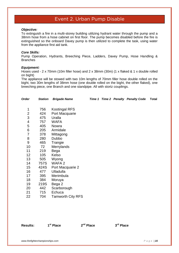## **Event 2. Urban Pump Disable**

#### *Objective:*

To extinguish a fire in a multi-storey building utilizing hydrant water through the pump and a 38mm hose from a hose cabinet on first floor. The pump becomes disabled before the fire is extinguished so the onboard Davey pump is then utilized to complete the task, using water from the appliance first aid tank.

#### *Core Skills:*

Pump Operation, Hydrants, Breeching Piece, Ladders, Davey Pump, Hose Handling & **Branches** 

#### *Equipment:*

Hoses used - 2 x 70mm (10m filler hose) and 2 x 38mm (30m) (1 x flaked & 1 x double rolled on bight)

The appliance will be stowed with two 10m lengths of 70mm filler hose double rolled on the bight, two 30m lengths of 38mm hose (one double rolled on the bight, the other flaked), one breeching piece, one Branch and one standpipe. All with stortz couplings.

| Order          | <b>Station</b> | <b>Brigade Name</b>      |  | Time 1 Time 2 Penalty Penalty Code | Total |
|----------------|----------------|--------------------------|--|------------------------------------|-------|
| $\mathbf 1$    | 756            | <b>Kootingal RFS</b>     |  |                                    |       |
| $\mathbf{2}$   | 424            | Port Macquarie           |  |                                    |       |
| 3              | 475            | Uralla                   |  |                                    |       |
| 4              | 757            | <b>WAFA</b>              |  |                                    |       |
| 5              | 405            | Nowra                    |  |                                    |       |
| 6              | 205            | Armidale                 |  |                                    |       |
| $\overline{7}$ | 378            | Mittagong                |  |                                    |       |
| 8              | 280            | Dubbo                    |  |                                    |       |
| 9              | 465            | Trangie                  |  |                                    |       |
| 10             | 72             | Merrylands               |  |                                    |       |
| 11             | 219            | Bega                     |  |                                    |       |
| 12             | 105            | Kelso                    |  |                                    |       |
| 13             | 505            | Wyong                    |  |                                    |       |
| 14             | 757S           | WAFA 2                   |  |                                    |       |
| 15             | 424S           | Port Macquarie 2         |  |                                    |       |
| 16             | 477            | <b>Ulladulla</b>         |  |                                    |       |
| 17             | 395            | Merimbula                |  |                                    |       |
| 18             | 384            | Moruya                   |  |                                    |       |
| 19             | 219S           | Bega 2                   |  |                                    |       |
| 20             | 442            | Scarborough              |  |                                    |       |
| 21             | 715            | Echuca                   |  |                                    |       |
| 22             | 704            | <b>Tamworth City RFS</b> |  |                                    |       |
|                |                |                          |  |                                    |       |
|                |                |                          |  |                                    |       |

**Results: 1**

**st Place 2**

**nd Place 3**

**rd Place**